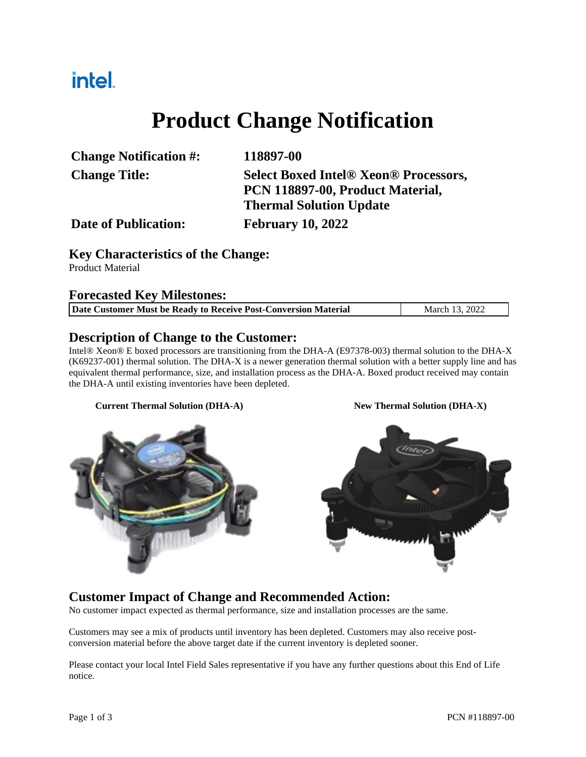# intel.

# **Product Change Notification**

| <b>Change Notification #:</b> | 118897-00                                    |
|-------------------------------|----------------------------------------------|
| <b>Change Title:</b>          | <b>Select Boxed Intel® Xeon® Processors,</b> |
|                               | PCN 118897-00, Product Material,             |
|                               | <b>Thermal Solution Update</b>               |
| <b>Date of Publication:</b>   | <b>February 10, 2022</b>                     |

### **Key Characteristics of the Change:**

Product Material

## **Forecasted Key Milestones:**

| Date Customer Must be Ready to Receive Post-Conversion Material | March 13, 2022 |
|-----------------------------------------------------------------|----------------|

## **Description of Change to the Customer:**

Intel® Xeon® E boxed processors are transitioning from the DHA-A (E97378-003) thermal solution to the DHA-X (K69237-001) thermal solution. The DHA-X is a newer generation thermal solution with a better supply line and has equivalent thermal performance, size, and installation process as the DHA-A. Boxed product received may contain the DHA-A until existing inventories have been depleted.

**Current Thermal Solution (DHA-A) New Thermal Solution (DHA-X)** 



## **Customer Impact of Change and Recommended Action:**

No customer impact expected as thermal performance, size and installation processes are the same.

Customers may see a mix of products until inventory has been depleted. Customers may also receive postconversion material before the above target date if the current inventory is depleted sooner.

Please contact your local Intel Field Sales representative if you have any further questions about this End of Life notice.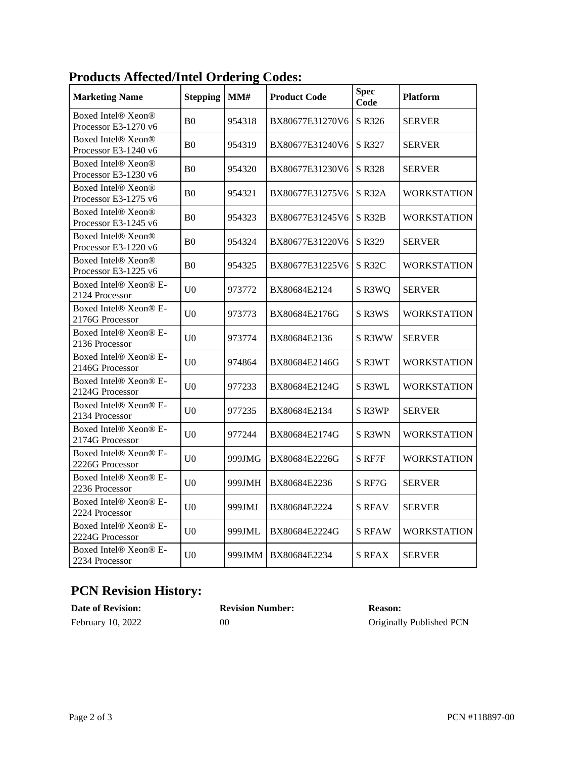| I Touacts Anterea/Inter Oracring Coucs.           |                 |        |                     |                     |                    |
|---------------------------------------------------|-----------------|--------|---------------------|---------------------|--------------------|
| <b>Marketing Name</b>                             | <b>Stepping</b> | MM#    | <b>Product Code</b> | <b>Spec</b><br>Code | <b>Platform</b>    |
| <b>Boxed Intel® Xeon®</b><br>Processor E3-1270 v6 | B <sub>0</sub>  | 954318 | BX80677E31270V6     | S R326              | <b>SERVER</b>      |
| <b>Boxed Intel® Xeon®</b><br>Processor E3-1240 v6 | B <sub>0</sub>  | 954319 | BX80677E31240V6     | S R327              | <b>SERVER</b>      |
| <b>Boxed Intel® Xeon®</b><br>Processor E3-1230 v6 | B <sub>0</sub>  | 954320 | BX80677E31230V6     | S R328              | <b>SERVER</b>      |
| <b>Boxed Intel® Xeon®</b><br>Processor E3-1275 v6 | B <sub>0</sub>  | 954321 | BX80677E31275V6     | S R32A              | <b>WORKSTATION</b> |
| <b>Boxed Intel® Xeon®</b><br>Processor E3-1245 v6 | B <sub>0</sub>  | 954323 | BX80677E31245V6     | SR32B               | <b>WORKSTATION</b> |
| <b>Boxed Intel® Xeon®</b><br>Processor E3-1220 v6 | B <sub>0</sub>  | 954324 | BX80677E31220V6     | S R329              | <b>SERVER</b>      |
| <b>Boxed Intel® Xeon®</b><br>Processor E3-1225 v6 | B <sub>0</sub>  | 954325 | BX80677E31225V6     | <b>S R32C</b>       | <b>WORKSTATION</b> |
| Boxed Intel® Xeon® E-<br>2124 Processor           | U <sub>0</sub>  | 973772 | BX80684E2124        | SR3WQ               | <b>SERVER</b>      |
| Boxed Intel® Xeon® E-<br>2176G Processor          | U <sub>0</sub>  | 973773 | BX80684E2176G       | SR3WS               | <b>WORKSTATION</b> |
| Boxed Intel® Xeon® E-<br>2136 Processor           | U <sub>0</sub>  | 973774 | BX80684E2136        | SR3WW               | <b>SERVER</b>      |
| Boxed Intel® Xeon® E-<br>2146G Processor          | U <sub>0</sub>  | 974864 | BX80684E2146G       | SR3WT               | <b>WORKSTATION</b> |
| Boxed Intel® Xeon® E-<br>2124G Processor          | U <sub>0</sub>  | 977233 | BX80684E2124G       | S R3WL              | <b>WORKSTATION</b> |
| Boxed Intel® Xeon® E-<br>2134 Processor           | U <sub>0</sub>  | 977235 | BX80684E2134        | SR3WP               | <b>SERVER</b>      |
| Boxed Intel® Xeon® E-<br>2174G Processor          | U <sub>0</sub>  | 977244 | BX80684E2174G       | S R3WN              | <b>WORKSTATION</b> |
| Boxed Intel® Xeon® E-<br>2226G Processor          | U <sub>0</sub>  | 999JMG | BX80684E2226G       | S RF7F              | <b>WORKSTATION</b> |
| Boxed Intel® Xeon® E-<br>2236 Processor           | U <sub>0</sub>  | 999JMH | BX80684E2236        | S RF7G              | <b>SERVER</b>      |
| Boxed Intel® Xeon® E-<br>2224 Processor           | U <sub>0</sub>  | 999JMJ | BX80684E2224        | <b>S RFAV</b>       | <b>SERVER</b>      |
| Boxed Intel® Xeon® E-<br>2224G Processor          | U <sub>0</sub>  | 999JML | BX80684E2224G       | <b>S RFAW</b>       | <b>WORKSTATION</b> |
| Boxed Intel® Xeon® E-<br>2234 Processor           | U <sub>0</sub>  | 999JMM | BX80684E2234        | <b>S RFAX</b>       | <b>SERVER</b>      |

**Products Affected/Intel Ordering Codes:**

## **PCN Revision History:**

**Date of Revision:** 

| <b>Date of Revision:</b> | <b>Revision Number:</b> | <b>Reason:</b>           |
|--------------------------|-------------------------|--------------------------|
| February 10, 2022        | 00                      | Originally Published PCN |